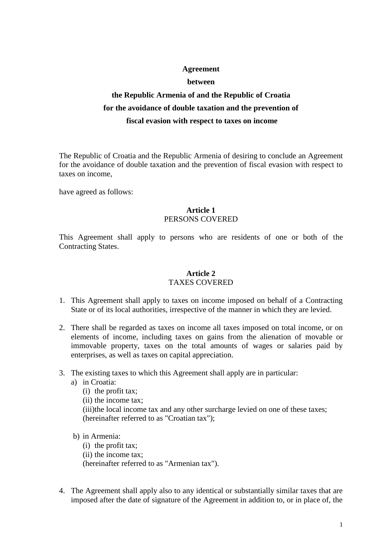## **Agreement**

### **between**

# **the Republic Armenia of and the Republic of Croatia for the avoidance of double taxation and the prevention of fiscal evasion with respect to taxes on income**

The Republic of Croatia and the Republic Armenia of desiring to conclude an Agreement for the avoidance of double taxation and the prevention of fiscal evasion with respect to taxes on income,

have agreed as follows:

# **Article 1** PERSONS COVERED

This Agreement shall apply to persons who are residents of one or both of the Contracting States.

### **Article 2** TAXES COVERED

- 1. This Agreement shall apply to taxes on income imposed on behalf of a Contracting State or of its local authorities, irrespective of the manner in which they are levied.
- 2. There shall be regarded as taxes on income all taxes imposed on total income, or on elements of income, including taxes on gains from the alienation of movable or immovable property, taxes on the total amounts of wages or salaries paid by enterprises, as well as taxes on capital appreciation.
- 3. The existing taxes to which this Agreement shall apply are in particular:
	- a) in Croatia:
		- (i) the profit tax;
		- (ii) the income tax;

(iii)the local income tax and any other surcharge levied on one of these taxes; (hereinafter referred to as "Croatian tax");

- b) in Armenia:
	- (i) the profit tax;
	- (ii) the income tax;

(hereinafter referred to as "Armenian tax").

4. The Agreement shall apply also to any identical or substantially similar taxes that are imposed after the date of signature of the Agreement in addition to, or in place of, the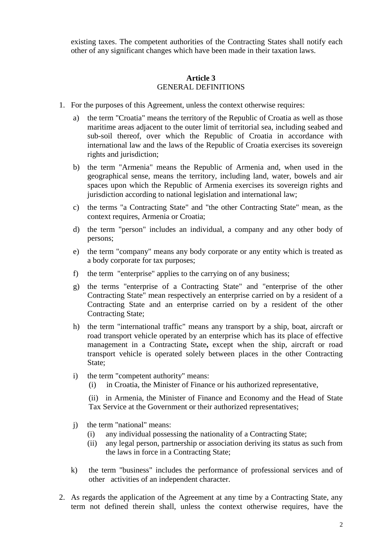existing taxes. The competent authorities of the Contracting States shall notify each other of any significant changes which have been made in their taxation laws.

### **Article 3** GENERAL DEFINITIONS

- 1. For the purposes of this Agreement, unless the context otherwise requires:
	- a) the term "Croatia" means the territory of the Republic of Croatia as well as those maritime areas adjacent to the outer limit of territorial sea, including seabed and sub-soil thereof, over which the Republic of Croatia in accordance with international law and the laws of the Republic of Croatia exercises its sovereign rights and jurisdiction;
	- b) the term "Armenia" means the Republic of Armenia and, when used in the geographical sense, means the territory, including land, water, bowels and air spaces upon which the Republic of Armenia exercises its sovereign rights and jurisdiction according to national legislation and international law;
	- c) the terms "a Contracting State" and "the other Contracting State" mean, as the context requires, Armenia or Croatia;
	- d) the term "person" includes an individual, a company and any other body of persons;
	- e) the term "company" means any body corporate or any entity which is treated as a body corporate for tax purposes;
	- f) the term "enterprise" applies to the carrying on of any business;
	- g) the terms "enterprise of a Contracting State" and "enterprise of the other Contracting State" mean respectively an enterprise carried on by a resident of a Contracting State and an enterprise carried on by a resident of the other Contracting State;
	- h) the term "international traffic" means any transport by a ship, boat, aircraft or road transport vehicle operated by an enterprise which has its place of effective management in a Contracting State**,** except when the ship, aircraft or road transport vehicle is operated solely between places in the other Contracting State;
	- i) the term "competent authority" means:

(i) in Croatia, the Minister of Finance or his authorized representative,

(ii) in Armenia, the Minister of Finance and Economy and the Head of State Tax Service at the Government or their authorized representatives;

- j) the term "national" means:
	- (i) any individual possessing the nationality of a Contracting State;
	- (ii) any legal person, partnership or association deriving its status as such from the laws in force in a Contracting State;
- k) the term "business" includes the performance of professional services and of other activities of an independent character.
- 2. As regards the application of the Agreement at any time by a Contracting State, any term not defined therein shall, unless the context otherwise requires, have the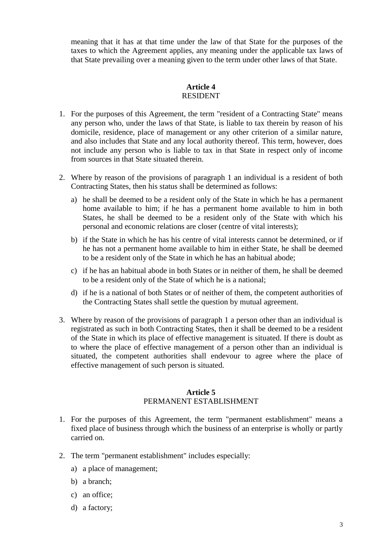meaning that it has at that time under the law of that State for the purposes of the taxes to which the Agreement applies, any meaning under the applicable tax laws of that State prevailing over a meaning given to the term under other laws of that State.

### **Article 4** RESIDENT

- 1. For the purposes of this Agreement, the term "resident of a Contracting State" means any person who, under the laws of that State, is liable to tax therein by reason of his domicile, residence, place of management or any other criterion of a similar nature, and also includes that State and any local authority thereof. This term, however, does not include any person who is liable to tax in that State in respect only of income from sources in that State situated therein.
- 2. Where by reason of the provisions of paragraph 1 an individual is a resident of both Contracting States, then his status shall be determined as follows:
	- a) he shall be deemed to be a resident only of the State in which he has a permanent home available to him; if he has a permanent home available to him in both States, he shall be deemed to be a resident only of the State with which his personal and economic relations are closer (centre of vital interests);
	- b) if the State in which he has his centre of vital interests cannot be determined, or if he has not a permanent home available to him in either State, he shall be deemed to be a resident only of the State in which he has an habitual abode;
	- c) if he has an habitual abode in both States or in neither of them, he shall be deemed to be a resident only of the State of which he is a national;
	- d) if he is a national of both States or of neither of them, the competent authorities of the Contracting States shall settle the question by mutual agreement.
- 3. Where by reason of the provisions of paragraph 1 a person other than an individual is registrated as such in both Contracting States, then it shall be deemed to be a resident of the State in which its place of effective management is situated. If there is doubt as to where the place of effective management of a person other than an individual is situated, the competent authorities shall endevour to agree where the place of effective management of such person is situated.

### **Article 5** PERMANENT ESTABLISHMENT

- 1. For the purposes of this Agreement, the term "permanent establishment" means a fixed place of business through which the business of an enterprise is wholly or partly carried on.
- 2. The term "permanent establishment" includes especially:
	- a) a place of management;
	- b) a branch;
	- c) an office;
	- d) a factory;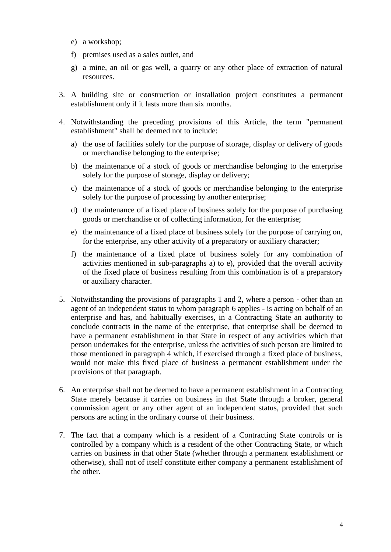- e) a workshop;
- f) premises used as a sales outlet, and
- g) a mine, an oil or gas well, a quarry or any other place of extraction of natural resources.
- 3. A building site or construction or installation project constitutes a permanent establishment only if it lasts more than six months.
- 4. Notwithstanding the preceding provisions of this Article, the term "permanent establishment" shall be deemed not to include:
	- a) the use of facilities solely for the purpose of storage, display or delivery of goods or merchandise belonging to the enterprise;
	- b) the maintenance of a stock of goods or merchandise belonging to the enterprise solely for the purpose of storage, display or delivery;
	- c) the maintenance of a stock of goods or merchandise belonging to the enterprise solely for the purpose of processing by another enterprise;
	- d) the maintenance of a fixed place of business solely for the purpose of purchasing goods or merchandise or of collecting information, for the enterprise;
	- e) the maintenance of a fixed place of business solely for the purpose of carrying on, for the enterprise, any other activity of a preparatory or auxiliary character;
	- f) the maintenance of a fixed place of business solely for any combination of activities mentioned in sub-paragraphs a) to e), provided that the overall activity of the fixed place of business resulting from this combination is of a preparatory or auxiliary character.
- 5. Notwithstanding the provisions of paragraphs 1 and 2, where a person other than an agent of an independent status to whom paragraph 6 applies - is acting on behalf of an enterprise and has, and habitually exercises, in a Contracting State an authority to conclude contracts in the name of the enterprise, that enterprise shall be deemed to have a permanent establishment in that State in respect of any activities which that person undertakes for the enterprise, unless the activities of such person are limited to those mentioned in paragraph 4 which, if exercised through a fixed place of business, would not make this fixed place of business a permanent establishment under the provisions of that paragraph.
- 6. An enterprise shall not be deemed to have a permanent establishment in a Contracting State merely because it carries on business in that State through a broker, general commission agent or any other agent of an independent status, provided that such persons are acting in the ordinary course of their business.
- 7. The fact that a company which is a resident of a Contracting State controls or is controlled by a company which is a resident of the other Contracting State, or which carries on business in that other State (whether through a permanent establishment or otherwise), shall not of itself constitute either company a permanent establishment of the other.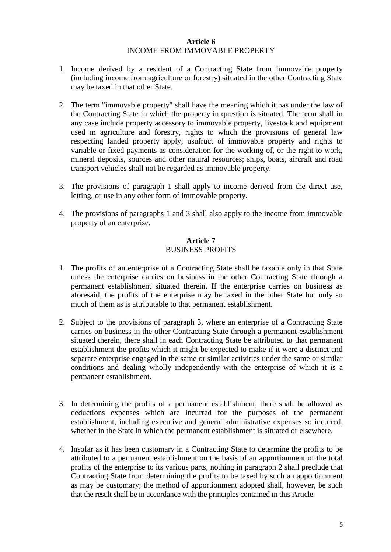### **Article 6** INCOME FROM IMMOVABLE PROPERTY

- 1. Income derived by a resident of a Contracting State from immovable property (including income from agriculture or forestry) situated in the other Contracting State may be taxed in that other State.
- 2. The term "immovable property" shall have the meaning which it has under the law of the Contracting State in which the property in question is situated. The term shall in any case include property accessory to immovable property, livestock and equipment used in agriculture and forestry, rights to which the provisions of general law respecting landed property apply, usufruct of immovable property and rights to variable or fixed payments as consideration for the working of, or the right to work, mineral deposits, sources and other natural resources; ships, boats, aircraft and road transport vehicles shall not be regarded as immovable property.
- 3. The provisions of paragraph 1 shall apply to income derived from the direct use, letting, or use in any other form of immovable property.
- 4. The provisions of paragraphs 1 and 3 shall also apply to the income from immovable property of an enterprise.

# **Article 7** BUSINESS PROFITS

- 1. The profits of an enterprise of a Contracting State shall be taxable only in that State unless the enterprise carries on business in the other Contracting State through a permanent establishment situated therein. If the enterprise carries on business as aforesaid, the profits of the enterprise may be taxed in the other State but only so much of them as is attributable to that permanent establishment.
- 2. Subject to the provisions of paragraph 3, where an enterprise of a Contracting State carries on business in the other Contracting State through a permanent establishment situated therein, there shall in each Contracting State be attributed to that permanent establishment the profits which it might be expected to make if it were a distinct and separate enterprise engaged in the same or similar activities under the same or similar conditions and dealing wholly independently with the enterprise of which it is a permanent establishment.
- 3. In determining the profits of a permanent establishment, there shall be allowed as deductions expenses which are incurred for the purposes of the permanent establishment, including executive and general administrative expenses so incurred, whether in the State in which the permanent establishment is situated or elsewhere.
- 4. Insofar as it has been customary in a Contracting State to determine the profits to be attributed to a permanent establishment on the basis of an apportionment of the total profits of the enterprise to its various parts, nothing in paragraph 2 shall preclude that Contracting State from determining the profits to be taxed by such an apportionment as may be customary; the method of apportionment adopted shall, however, be such that the result shall be in accordance with the principles contained in this Article.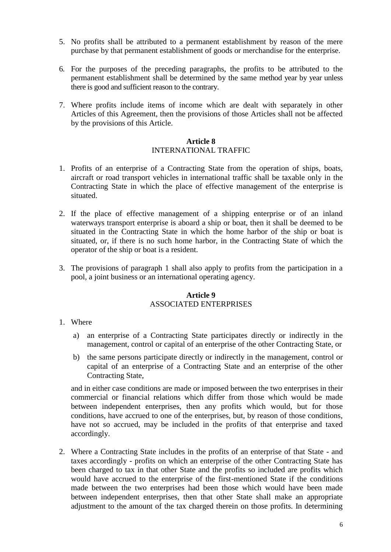- 5. No profits shall be attributed to a permanent establishment by reason of the mere purchase by that permanent establishment of goods or merchandise for the enterprise.
- 6. For the purposes of the preceding paragraphs, the profits to be attributed to the permanent establishment shall be determined by the same method year by year unless there is good and sufficient reason to the contrary.
- 7. Where profits include items of income which are dealt with separately in other Articles of this Agreement, then the provisions of those Articles shall not be affected by the provisions of this Article.

### **Article 8** INTERNATIONAL TRAFFIC

- 1. Profits of an enterprise of a Contracting State from the operation of ships, boats, aircraft or road transport vehicles in international traffic shall be taxable only in the Contracting State in which the place of effective management of the enterprise is situated.
- 2. If the place of effective management of a shipping enterprise or of an inland waterways transport enterprise is aboard a ship or boat, then it shall be deemed to be situated in the Contracting State in which the home harbor of the ship or boat is situated, or, if there is no such home harbor, in the Contracting State of which the operator of the ship or boat is a resident.
- 3. The provisions of paragraph 1 shall also apply to profits from the participation in a pool, a joint business or an international operating agency.

### **Article 9** ASSOCIATED ENTERPRISES

- 1. Where
	- a) an enterprise of a Contracting State participates directly or indirectly in the management, control or capital of an enterprise of the other Contracting State, or
	- b) the same persons participate directly or indirectly in the management, control or capital of an enterprise of a Contracting State and an enterprise of the other Contracting State,

and in either case conditions are made or imposed between the two enterprises in their commercial or financial relations which differ from those which would be made between independent enterprises, then any profits which would, but for those conditions, have accrued to one of the enterprises, but, by reason of those conditions, have not so accrued, may be included in the profits of that enterprise and taxed accordingly.

2. Where a Contracting State includes in the profits of an enterprise of that State - and taxes accordingly - profits on which an enterprise of the other Contracting State has been charged to tax in that other State and the profits so included are profits which would have accrued to the enterprise of the first-mentioned State if the conditions made between the two enterprises had been those which would have been made between independent enterprises, then that other State shall make an appropriate adjustment to the amount of the tax charged therein on those profits. In determining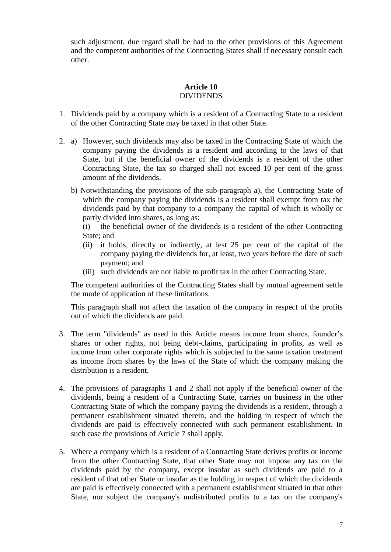such adjustment, due regard shall be had to the other provisions of this Agreement and the competent authorities of the Contracting States shall if necessary consult each other.

# **Article 10** DIVIDENDS

- 1. Dividends paid by a company which is a resident of a Contracting State to a resident of the other Contracting State may be taxed in that other State.
- 2. a) However, such dividends may also be taxed in the Contracting State of which the company paying the dividends is a resident and according to the laws of that State, but if the beneficial owner of the dividends is a resident of the other Contracting State, the tax so charged shall not exceed 10 per cent of the gross amount of the dividends.
	- b) Notwithstanding the provisions of the sub-paragraph a), the Contracting State of which the company paying the dividends is a resident shall exempt from tax the dividends paid by that company to a company the capital of which is wholly or partly divided into shares, as long as:

(i) the beneficial owner of the dividends is a resident of the other Contracting State; and

- (ii) it holds, directly or indirectly, at lest 25 per cent of the capital of the company paying the dividends for, at least, two years before the date of such payment; and
- (iii) such dividends are not liable to profit tax in the other Contracting State.

The competent authorities of the Contracting States shall by mutual agreement settle the mode of application of these limitations.

This paragraph shall not affect the taxation of the company in respect of the profits out of which the dividends are paid.

- 3. The term "dividends" as used in this Article means income from shares, founder's shares or other rights, not being debt-claims, participating in profits, as well as income from other corporate rights which is subjected to the same taxation treatment as income from shares by the laws of the State of which the company making the distribution is a resident.
- 4. The provisions of paragraphs 1 and 2 shall not apply if the beneficial owner of the dividends, being a resident of a Contracting State, carries on business in the other Contracting State of which the company paying the dividends is a resident, through a permanent establishment situated therein, and the holding in respect of which the dividends are paid is effectively connected with such permanent establishment. In such case the provisions of Article 7 shall apply.
- 5. Where a company which is a resident of a Contracting State derives profits or income from the other Contracting State, that other State may not impose any tax on the dividends paid by the company, except insofar as such dividends are paid to a resident of that other State or insofar as the holding in respect of which the dividends are paid is effectively connected with a permanent establishment situated in that other State, nor subject the company's undistributed profits to a tax on the company's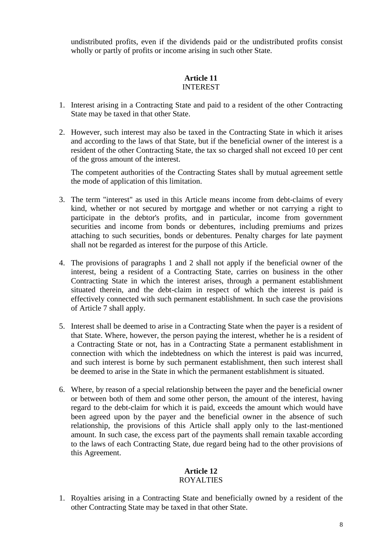undistributed profits, even if the dividends paid or the undistributed profits consist wholly or partly of profits or income arising in such other State.

# **Article 11** INTEREST

- 1. Interest arising in a Contracting State and paid to a resident of the other Contracting State may be taxed in that other State.
- 2. However, such interest may also be taxed in the Contracting State in which it arises and according to the laws of that State, but if the beneficial owner of the interest is a resident of the other Contracting State, the tax so charged shall not exceed 10 per cent of the gross amount of the interest.

The competent authorities of the Contracting States shall by mutual agreement settle the mode of application of this limitation.

- 3. The term "interest" as used in this Article means income from debt-claims of every kind, whether or not secured by mortgage and whether or not carrying a right to participate in the debtor's profits, and in particular, income from government securities and income from bonds or debentures, including premiums and prizes attaching to such securities, bonds or debentures. Penalty charges for late payment shall not be regarded as interest for the purpose of this Article.
- 4. The provisions of paragraphs 1 and 2 shall not apply if the beneficial owner of the interest, being a resident of a Contracting State, carries on business in the other Contracting State in which the interest arises, through a permanent establishment situated therein, and the debt-claim in respect of which the interest is paid is effectively connected with such permanent establishment. In such case the provisions of Article 7 shall apply.
- 5. Interest shall be deemed to arise in a Contracting State when the payer is a resident of that State. Where, however, the person paying the interest, whether he is a resident of a Contracting State or not, has in a Contracting State a permanent establishment in connection with which the indebtedness on which the interest is paid was incurred, and such interest is borne by such permanent establishment, then such interest shall be deemed to arise in the State in which the permanent establishment is situated.
- 6. Where, by reason of a special relationship between the payer and the beneficial owner or between both of them and some other person, the amount of the interest, having regard to the debt-claim for which it is paid, exceeds the amount which would have been agreed upon by the payer and the beneficial owner in the absence of such relationship, the provisions of this Article shall apply only to the last-mentioned amount. In such case, the excess part of the payments shall remain taxable according to the laws of each Contracting State, due regard being had to the other provisions of this Agreement.

# **Article 12** ROYALTIES

1. Royalties arising in a Contracting State and beneficially owned by a resident of the other Contracting State may be taxed in that other State.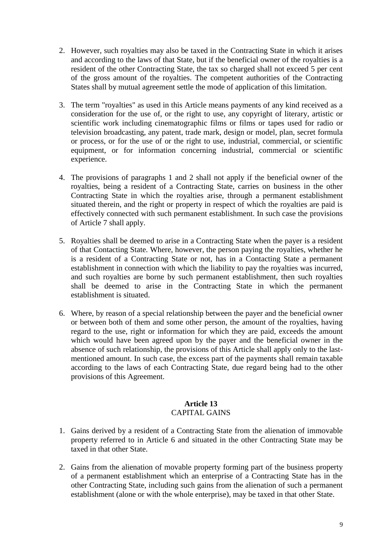- 2. However, such royalties may also be taxed in the Contracting State in which it arises and according to the laws of that State, but if the beneficial owner of the royalties is a resident of the other Contracting State, the tax so charged shall not exceed 5 per cent of the gross amount of the royalties. The competent authorities of the Contracting States shall by mutual agreement settle the mode of application of this limitation.
- 3. The term "royalties" as used in this Article means payments of any kind received as a consideration for the use of, or the right to use, any copyright of literary, artistic or scientific work including cinematographic films or films or tapes used for radio or television broadcasting, any patent, trade mark, design or model, plan, secret formula or process, or for the use of or the right to use, industrial, commercial, or scientific equipment, or for information concerning industrial, commercial or scientific experience.
- 4. The provisions of paragraphs 1 and 2 shall not apply if the beneficial owner of the royalties, being a resident of a Contracting State, carries on business in the other Contracting State in which the royalties arise, through a permanent establishment situated therein, and the right or property in respect of which the royalties are paid is effectively connected with such permanent establishment. In such case the provisions of Article 7 shall apply.
- 5. Royalties shall be deemed to arise in a Contracting State when the payer is a resident of that Contacting State. Where, however, the person paying the royalties, whether he is a resident of a Contracting State or not, has in a Contacting State a permanent establishment in connection with which the liability to pay the royalties was incurred, and such royalties are borne by such permanent establishment, then such royalties shall be deemed to arise in the Contracting State in which the permanent establishment is situated.
- 6. Where, by reason of a special relationship between the payer and the beneficial owner or between both of them and some other person, the amount of the royalties, having regard to the use, right or information for which they are paid, exceeds the amount which would have been agreed upon by the payer and the beneficial owner in the absence of such relationship, the provisions of this Article shall apply only to the lastmentioned amount. In such case, the excess part of the payments shall remain taxable according to the laws of each Contracting State, due regard being had to the other provisions of this Agreement.

# **Article 13** CAPITAL GAINS

- 1. Gains derived by a resident of a Contracting State from the alienation of immovable property referred to in Article 6 and situated in the other Contracting State may be taxed in that other State.
- 2. Gains from the alienation of movable property forming part of the business property of a permanent establishment which an enterprise of a Contracting State has in the other Contracting State, including such gains from the alienation of such a permanent establishment (alone or with the whole enterprise), may be taxed in that other State.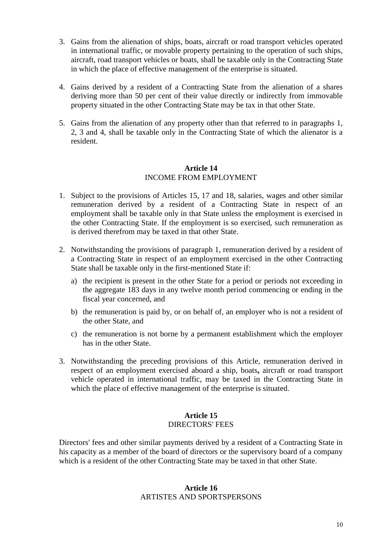- 3. Gains from the alienation of ships, boats, aircraft or road transport vehicles operated in international traffic, or movable property pertaining to the operation of such ships, aircraft, road transport vehicles or boats, shall be taxable only in the Contracting State in which the place of effective management of the enterprise is situated.
- 4. Gains derived by a resident of a Contracting State from the alienation of a shares deriving more than 50 per cent of their value directly or indirectly from immovable property situated in the other Contracting State may be tax in that other State.
- 5. Gains from the alienation of any property other than that referred to in paragraphs 1, 2, 3 and 4, shall be taxable only in the Contracting State of which the alienator is a resident.

### **Article 14** INCOME FROM EMPLOYMENT

- 1. Subject to the provisions of Articles 15, 17 and 18, salaries, wages and other similar remuneration derived by a resident of a Contracting State in respect of an employment shall be taxable only in that State unless the employment is exercised in the other Contracting State. If the employment is so exercised, such remuneration as is derived therefrom may be taxed in that other State.
- 2. Notwithstanding the provisions of paragraph 1, remuneration derived by a resident of a Contracting State in respect of an employment exercised in the other Contracting State shall be taxable only in the first-mentioned State if:
	- a) the recipient is present in the other State for a period or periods not exceeding in the aggregate 183 days in any twelve month period commencing or ending in the fiscal year concerned, and
	- b) the remuneration is paid by, or on behalf of, an employer who is not a resident of the other State, and
	- c) the remuneration is not borne by a permanent establishment which the employer has in the other State.
- 3. Notwithstanding the preceding provisions of this Article, remuneration derived in respect of an employment exercised aboard a ship, boats**,** aircraft or road transport vehicle operated in international traffic, may be taxed in the Contracting State in which the place of effective management of the enterprise is situated.

# **Article 15** DIRECTORS' FEES

Directors' fees and other similar payments derived by a resident of a Contracting State in his capacity as a member of the board of directors or the supervisory board of a company which is a resident of the other Contracting State may be taxed in that other State.

### **Article 16** ARTISTES AND SPORTSPERSONS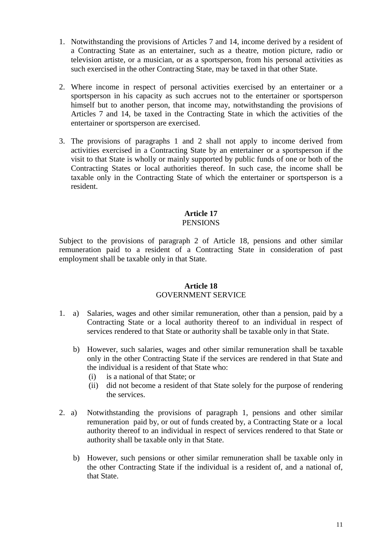- 1. Notwithstanding the provisions of Articles 7 and 14, income derived by a resident of a Contracting State as an entertainer, such as a theatre, motion picture, radio or television artiste, or a musician, or as a sportsperson, from his personal activities as such exercised in the other Contracting State, may be taxed in that other State.
- 2. Where income in respect of personal activities exercised by an entertainer or a sportsperson in his capacity as such accrues not to the entertainer or sportsperson himself but to another person, that income may, notwithstanding the provisions of Articles 7 and 14, be taxed in the Contracting State in which the activities of the entertainer or sportsperson are exercised.
- 3. The provisions of paragraphs 1 and 2 shall not apply to income derived from activities exercised in a Contracting State by an entertainer or a sportsperson if the visit to that State is wholly or mainly supported by public funds of one or both of the Contracting States or local authorities thereof. In such case, the income shall be taxable only in the Contracting State of which the entertainer or sportsperson is a resident.

# **Article 17**

# **PENSIONS**

Subject to the provisions of paragraph 2 of Article 18, pensions and other similar remuneration paid to a resident of a Contracting State in consideration of past employment shall be taxable only in that State.

# **Article 18** GOVERNMENT SERVICE

- 1. a) Salaries, wages and other similar remuneration, other than a pension, paid by a Contracting State or a local authority thereof to an individual in respect of services rendered to that State or authority shall be taxable only in that State.
	- b) However, such salaries, wages and other similar remuneration shall be taxable only in the other Contracting State if the services are rendered in that State and the individual is a resident of that State who:
		- (i) is a national of that State; or
		- (ii) did not become a resident of that State solely for the purpose of rendering the services.
- 2. a) Notwithstanding the provisions of paragraph 1, pensions and other similar remuneration paid by, or out of funds created by, a Contracting State or a local authority thereof to an individual in respect of services rendered to that State or authority shall be taxable only in that State.
	- b) However, such pensions or other similar remuneration shall be taxable only in the other Contracting State if the individual is a resident of, and a national of, that State.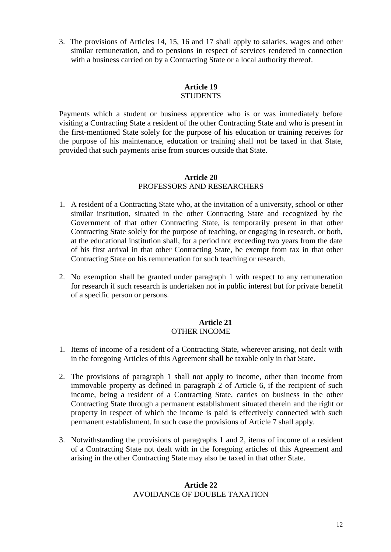3. The provisions of Articles 14, 15, 16 and 17 shall apply to salaries, wages and other similar remuneration, and to pensions in respect of services rendered in connection with a business carried on by a Contracting State or a local authority thereof.

# **Article 19 STUDENTS**

Payments which a student or business apprentice who is or was immediately before visiting a Contracting State a resident of the other Contracting State and who is present in the first-mentioned State solely for the purpose of his education or training receives for the purpose of his maintenance, education or training shall not be taxed in that State, provided that such payments arise from sources outside that State.

# **Article 20** PROFESSORS AND RESEARCHERS

- 1. A resident of a Contracting State who, at the invitation of a university, school or other similar institution, situated in the other Contracting State and recognized by the Government of that other Contracting State, is temporarily present in that other Contracting State solely for the purpose of teaching, or engaging in research, or both, at the educational institution shall, for a period not exceeding two years from the date of his first arrival in that other Contracting State, be exempt from tax in that other Contracting State on his remuneration for such teaching or research.
- 2. No exemption shall be granted under paragraph 1 with respect to any remuneration for research if such research is undertaken not in public interest but for private benefit of a specific person or persons.

# **Article 21** OTHER INCOME

- 1. Items of income of a resident of a Contracting State, wherever arising, not dealt with in the foregoing Articles of this Agreement shall be taxable only in that State.
- 2. The provisions of paragraph 1 shall not apply to income, other than income from immovable property as defined in paragraph 2 of Article 6, if the recipient of such income, being a resident of a Contracting State, carries on business in the other Contracting State through a permanent establishment situated therein and the right or property in respect of which the income is paid is effectively connected with such permanent establishment. In such case the provisions of Article 7 shall apply.
- 3. Notwithstanding the provisions of paragraphs 1 and 2, items of income of a resident of a Contracting State not dealt with in the foregoing articles of this Agreement and arising in the other Contracting State may also be taxed in that other State.

### **Article 22** AVOIDANCE OF DOUBLE TAXATION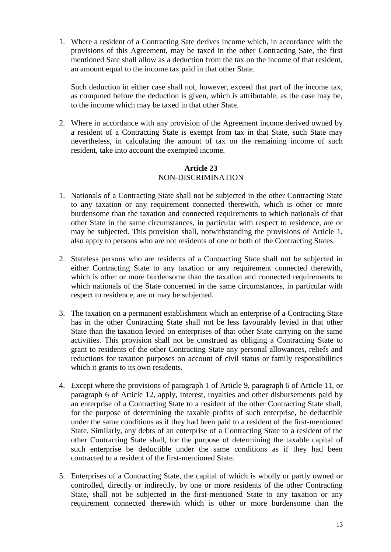1. Where a resident of a Contracting Sate derives income which, in accordance with the provisions of this Agreement, may be taxed in the other Contracting Sate, the first mentioned Sate shall allow as a deduction from the tax on the income of that resident, an amount equal to the income tax paid in that other State.

Such deduction in either case shall not, however, exceed that part of the income tax, as computed before the deduction is given, which is attributable, as the case may be, to the income which may be taxed in that other State.

2. Where in accordance with any provision of the Agreement income derived owned by a resident of a Contracting State is exempt from tax in that State, such State may nevertheless, in calculating the amount of tax on the remaining income of such resident, take into account the exempted income.

# **Article 23** NON-DISCRIMINATION

- 1. Nationals of a Contracting State shall not be subjected in the other Contracting State to any taxation or any requirement connected therewith, which is other or more burdensome than the taxation and connected requirements to which nationals of that other State in the same circumstances, in particular with respect to residence, are or may be subjected. This provision shall, notwithstanding the provisions of Article 1, also apply to persons who are not residents of one or both of the Contracting States.
- 2. Stateless persons who are residents of a Contracting State shall not be subjected in either Contracting State to any taxation or any requirement connected therewith, which is other or more burdensome than the taxation and connected requirements to which nationals of the State concerned in the same circumstances, in particular with respect to residence, are or may be subjected.
- 3. The taxation on a permanent establishment which an enterprise of a Contracting State has in the other Contracting State shall not be less favourably levied in that other State than the taxation levied on enterprises of that other State carrying on the same activities. This provision shall not be construed as obliging a Contracting State to grant to residents of the other Contracting State any personal allowances, reliefs and reductions for taxation purposes on account of civil status or family responsibilities which it grants to its own residents.
- 4. Except where the provisions of paragraph 1 of Article 9, paragraph 6 of Article 11, or paragraph 6 of Article 12, apply, interest, royalties and other disbursements paid by an enterprise of a Contracting State to a resident of the other Contracting State shall, for the purpose of determining the taxable profits of such enterprise, be deductible under the same conditions as if they had been paid to a resident of the first-mentioned State. Similarly, any debts of an enterprise of a Contracting State to a resident of the other Contracting State shall, for the purpose of determining the taxable capital of such enterprise be deductible under the same conditions as if they had been contracted to a resident of the first-mentioned State.
- 5. Enterprises of a Contracting State, the capital of which is wholly or partly owned or controlled, directly or indirectly, by one or more residents of the other Contracting State, shall not be subjected in the first-mentioned State to any taxation or any requirement connected therewith which is other or more burdensome than the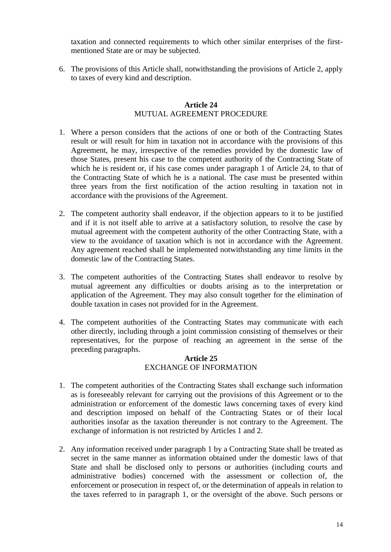taxation and connected requirements to which other similar enterprises of the firstmentioned State are or may be subjected.

6. The provisions of this Article shall, notwithstanding the provisions of Article 2, apply to taxes of every kind and description.

## **Article 24** MUTUAL AGREEMENT PROCEDURE

- 1. Where a person considers that the actions of one or both of the Contracting States result or will result for him in taxation not in accordance with the provisions of this Agreement, he may, irrespective of the remedies provided by the domestic law of those States, present his case to the competent authority of the Contracting State of which he is resident or, if his case comes under paragraph 1 of Article 24, to that of the Contracting State of which he is a national. The case must be presented within three years from the first notification of the action resulting in taxation not in accordance with the provisions of the Agreement.
- 2. The competent authority shall endeavor, if the objection appears to it to be justified and if it is not itself able to arrive at a satisfactory solution, to resolve the case by mutual agreement with the competent authority of the other Contracting State, with a view to the avoidance of taxation which is not in accordance with the Agreement. Any agreement reached shall be implemented notwithstanding any time limits in the domestic law of the Contracting States.
- 3. The competent authorities of the Contracting States shall endeavor to resolve by mutual agreement any difficulties or doubts arising as to the interpretation or application of the Agreement. They may also consult together for the elimination of double taxation in cases not provided for in the Agreement.
- 4. The competent authorities of the Contracting States may communicate with each other directly, including through a joint commission consisting of themselves or their representatives, for the purpose of reaching an agreement in the sense of the preceding paragraphs.

### **Article 25** EXCHANGE OF INFORMATION

- 1. The competent authorities of the Contracting States shall exchange such information as is foreseeably relevant for carrying out the provisions of this Agreement or to the administration or enforcement of the domestic laws concerning taxes of every kind and description imposed on behalf of the Contracting States or of their local authorities insofar as the taxation thereunder is not contrary to the Agreement. The exchange of information is not restricted by Articles 1 and 2.
- 2. Any information received under paragraph 1 by a Contracting State shall be treated as secret in the same manner as information obtained under the domestic laws of that State and shall be disclosed only to persons or authorities (including courts and administrative bodies) concerned with the assessment or collection of, the enforcement or prosecution in respect of, or the determination of appeals in relation to the taxes referred to in paragraph 1, or the oversight of the above. Such persons or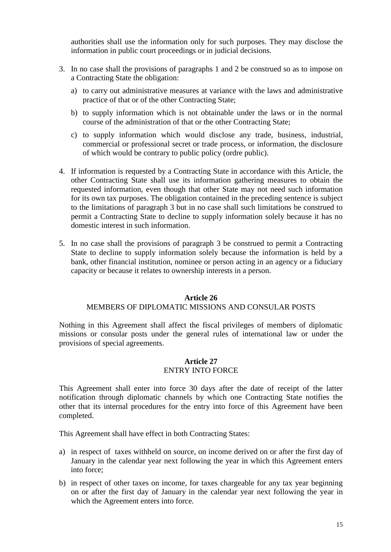authorities shall use the information only for such purposes. They may disclose the information in public court proceedings or in judicial decisions.

- 3. In no case shall the provisions of paragraphs 1 and 2 be construed so as to impose on a Contracting State the obligation:
	- a) to carry out administrative measures at variance with the laws and administrative practice of that or of the other Contracting State;
	- b) to supply information which is not obtainable under the laws or in the normal course of the administration of that or the other Contracting State;
	- c) to supply information which would disclose any trade, business, industrial, commercial or professional secret or trade process, or information, the disclosure of which would be contrary to public policy (ordre public).
- 4. If information is requested by a Contracting State in accordance with this Article, the other Contracting State shall use its information gathering measures to obtain the requested information, even though that other State may not need such information for its own tax purposes. The obligation contained in the preceding sentence is subject to the limitations of paragraph 3 but in no case shall such limitations be construed to permit a Contracting State to decline to supply information solely because it has no domestic interest in such information.
- 5. In no case shall the provisions of paragraph 3 be construed to permit a Contracting State to decline to supply information solely because the information is held by a bank, other financial institution, nominee or person acting in an agency or a fiduciary capacity or because it relates to ownership interests in a person.

### **Article 26**

### MEMBERS OF DIPLOMATIC MISSIONS AND CONSULAR POSTS

Nothing in this Agreement shall affect the fiscal privileges of members of diplomatic missions or consular posts under the general rules of international law or under the provisions of special agreements.

### **Article 27** ENTRY INTO FORCE

This Agreement shall enter into force 30 days after the date of receipt of the latter notification through diplomatic channels by which one Contracting State notifies the other that its internal procedures for the entry into force of this Agreement have been completed.

This Agreement shall have effect in both Contracting States:

- a) in respect of taxes withheld on source, on income derived on or after the first day of January in the calendar year next following the year in which this Agreement enters into force;
- b) in respect of other taxes on income, for taxes chargeable for any tax year beginning on or after the first day of January in the calendar year next following the year in which the Agreement enters into force.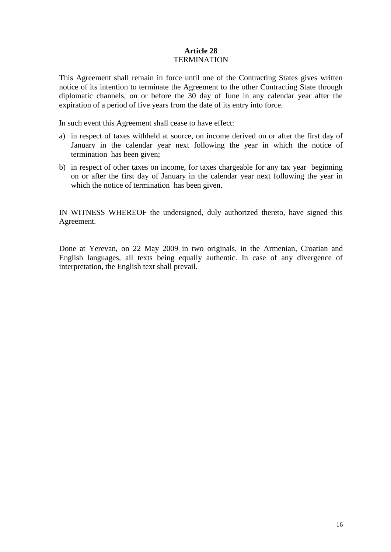# **Article 28 TERMINATION**

This Agreement shall remain in force until one of the Contracting States gives written notice of its intention to terminate the Agreement to the other Contracting State through diplomatic channels, on or before the 30 day of June in any calendar year after the expiration of a period of five years from the date of its entry into force.

In such event this Agreement shall cease to have effect:

- a) in respect of taxes withheld at source, on income derived on or after the first day of January in the calendar year next following the year in which the notice of termination has been given;
- b) in respect of other taxes on income, for taxes chargeable for any tax year beginning on or after the first day of January in the calendar year next following the year in which the notice of termination has been given.

IN WITNESS WHEREOF the undersigned, duly authorized thereto, have signed this Agreement.

Done at Yerevan, on 22 May 2009 in two originals, in the Armenian, Croatian and English languages, all texts being equally authentic. In case of any divergence of interpretation, the English text shall prevail.